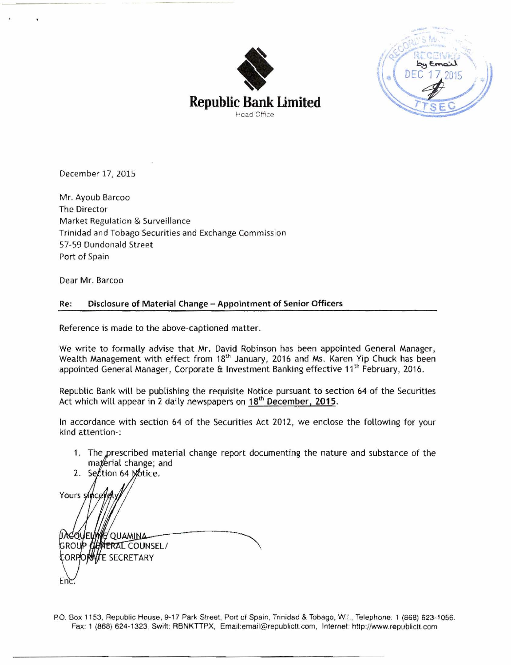

**Republic Bank Limited Head** Onice



December 17, 2015

Mr. Ayoub Barcoo The Director Market Regulation & Surveillance Trinidad and Tobago Securities and Exchange Commission 57-59 Dundonald Street Port of Spain

Dear Mr. Barcoo

### Re: Disclosure of Material Change - Appointment of Senior Officers

Reference is made to **the** above-captioned matter.

We write to formally advise that Mr. David Robimon has been appointed General Manager, Wealth Management with effect from 18<sup>th</sup> January, 2016 and Ms. Karen Yip Chuck has been appointed General Manager, Corporate & Investment Banking effective 11<sup>th</sup> February, 2016.

Republic Bank will be publishing the requisite Notice pursuant to section 64 of the Securities Act which will appear in 2 daily newspapers on **18"** December. **2015.** 

In accordance with section 64 of the Securities Act 2012, we enclose the following for your kind attention-:

1. The prescribed material change report documenting the nature and substance of the material change; and

2. Section 64 Motice. Yours si QUEUWA QUAMINA **ULINERAL COUNSEL/** GROI **FE SECRETARY** 

P.O. Box 1153, Republic House, 9-17 Park Street, Port of Spain, Trinidad & Tobago, W.t., Telephone. 1 (868) 623-1056. Fax: 1 (868) 624-1323, Swift: RBNKTTPX, *Email:email@republictt.com, Internet: http://www.republictt.com*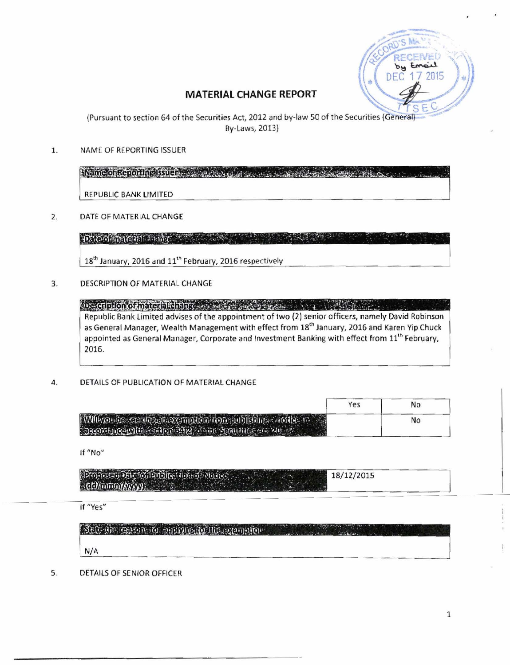

# MATERIAL CHANGE REPORT

Pursuant to section 64 of the Securities Act, 2012 and by-law 50  $\epsilon$ By-Laws, **2013)** 

1. NAME OF REPORTING ISSUER

Keine örkenorligilisüen von de saman an an an alban CAR HILL C.

REPUBLIC BANK LIMITED

 $2.$ DATE OF MATERIAl CHANGE

> Daoormacaal assure the com-**TARE AT**

18<sup>th</sup> January, 2016 and  $11<sup>th</sup>$  February, 2016 respectively

3. DESCRIPTION OF MATERIAL CHANGE

prescripton of material disiple was a species and consistent and the second Republic Bank Limited advises of the appointment of two (2) senior officers, namely David Robinson as General Manager, Wealth Management with effect from 18<sup>th</sup> January, 2016 and Karen Yip Chuck appointed as General Manager, Corporate and Investment Banking with effect from 11<sup>th</sup> February, **2016.** 

4. DETAILS OF PUBLICATION OF MATERIAL CHANGE

| William in security consequing to a representation senseting to a sec-<br><b>Coordinate with realign adia a mic Scannice on August</b> |  |
|----------------------------------------------------------------------------------------------------------------------------------------|--|

If "No"

| $2\pi$ o foscal Date of Public (up) of Matic (and $18/12/2015$ |  |
|----------------------------------------------------------------|--|
|                                                                |  |

If "Yes"

| Sett the certain to applying to the exemption and the second second and the |  |
|-----------------------------------------------------------------------------|--|
| N/A                                                                         |  |

5. DETAILS OF SENIOR OFFICER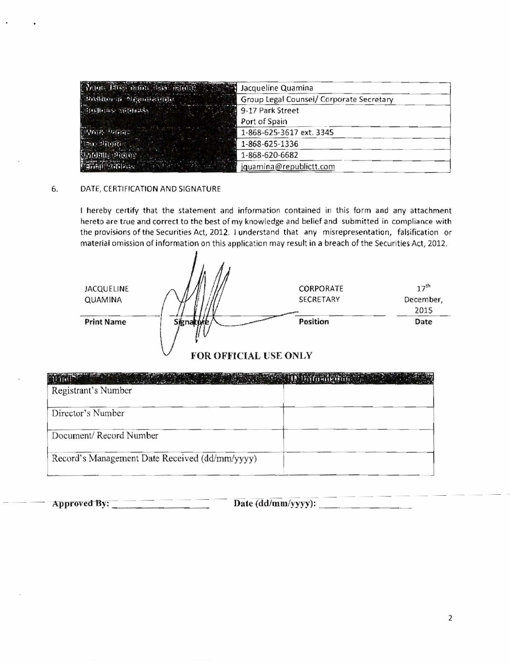| Print: Bush name, less imports. The State | Jacqueline Quamina                       |
|-------------------------------------------|------------------------------------------|
| "Beisfelne ift Ble pleiferiffeln.         | Group Legal Counsel/ Corporate Secretary |
|                                           | 9-17 Park Street                         |
|                                           | Port of Spain                            |
| अस्तासः अस्तारः                           | 1-868-625-3617 ext. 3345                 |
| <b>Reaching</b>                           | 1-868-625-1336                           |
| Bertonni, Provinci                        | 1-868-620-6682                           |
| <b>Principle of Principal Action</b>      | jquamina@republictt.com                  |

#### 6. DATE, CERTIFICATION AND SIGNATURE

I hereby **cenify** that the statement and information contained in this form and any attachment hereto are true and correct to the best of my knowledge **and** belief and submitted in compliance with the provisions of the Securities Act, **2012,** l understand that any misrepresentation, falsification or material omission of information on this applicatian may result in a breach of the Securities Act, **2012.** 

| 17 <sup>th</sup> |
|------------------|
| December,        |
| 2015             |
| Date             |
|                  |

## **FOR OFFICIAL USE ONLY**

| Registrant's Number                            | <b>CONTRACT OF A SECOND AND STATES OF A SECOND ACTION AND SECOND ACTIONS OF A SECOND ACTIONS OF A SECOND ACTIONS OF A SECOND ACTIONS OF A SECOND ACTIONS OF A SECOND ACTIONS OF A SECOND ACTIONS OF A SECOND ACTIONS OF A SECOND</b> |
|------------------------------------------------|--------------------------------------------------------------------------------------------------------------------------------------------------------------------------------------------------------------------------------------|
| Director's Number                              |                                                                                                                                                                                                                                      |
| Document/Record Number                         |                                                                                                                                                                                                                                      |
| Record's Management Date Received (dd/mm/yyyy) |                                                                                                                                                                                                                                      |

3ipp~webfly:--~~~ **Date (ddlmmlyym):**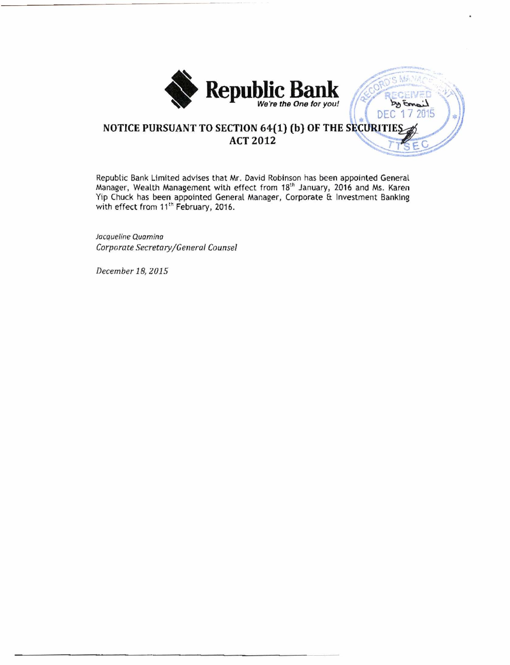

S MANA ・これ方言

by Email DEC 17 2015

# NOTICE PURSUANT TO SECTION 64(1) (b) OF THE SECURITIES **ACT 2012**

Republic Bank Limited advises that Mr. David Robinson has been appointed General Manager, Wealth Management with effect from 18<sup>th</sup> January, 2016 and Ms. Karen **Yip Chuck has been appointed General Manager, Corporate Et Investment Banking**  with effect from 11<sup>th</sup> February, 2016.

*Jacqueline* **Quomino**  *Corporate Secretary/Generol Counsel* 

*December 18,2015*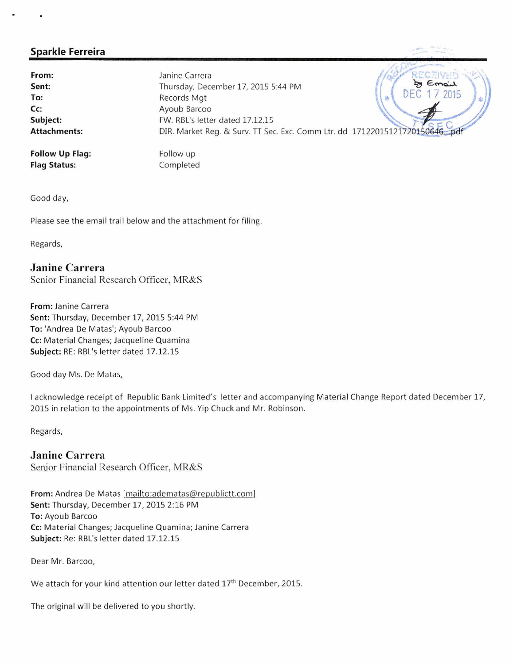# **Sparkle Ferreira** ,.<\* --'-'. . **q..** 7

**From:** 7 Chemical Mannie Carrera *(ASCA)* RECENTE Sent: Sent: Thursday, December 17, 2015 5:44 PM DEC 2015 To: Records Mgt Cc: Ayoub Barcoo Subject: FW: RBL's letter dated 17.12.15 Attachments: DIR. Market Reg. & Surv. TT Sec. Exc. Comm Ltr. dd 17122015121720150646. Follow Up Flag: Follow up

Flag Status:

Completed

Good day,

Please see the email trail below and the attachment for filing.

Regards,

# **Janine Carrera**

Senior Financial Research Officer, MR&S

From: Janine Carrera Sent: Thursday, December 17, 2015 5:44 PM To: 'Andrea De Matas'; Ayoub Barcoo Cc: Material Changes; Jacqueline Quamina Subject: RE: RBL's letter dated 17.12.15

Good day Ms. De Matas,

I acknowledge receipt of Republic Bank Limited's letter and accompanying Material Change Report dated December 17, 2015 in relation to the appointments of Ms. Yip Chuck and Mr. Robinson.

Regards,

# **Janine Carrera**

Senior Financial Research Officer, MR&S

From: Andrea De Matas [mailto:adematas@republictt.com] Sent: Thursday, December 17, 2015 2:16 PM To: Ayoub Barcoo Cc: Material Changes; Jacqueline Quamina; Janine Carrera Subject: Re: RBL's letter dated 17.12.15

Dear Mr. Barcoo,

We attach for your kind attention our letter dated 17<sup>th</sup> December, 2015.

The original will be delivered to you shortly.